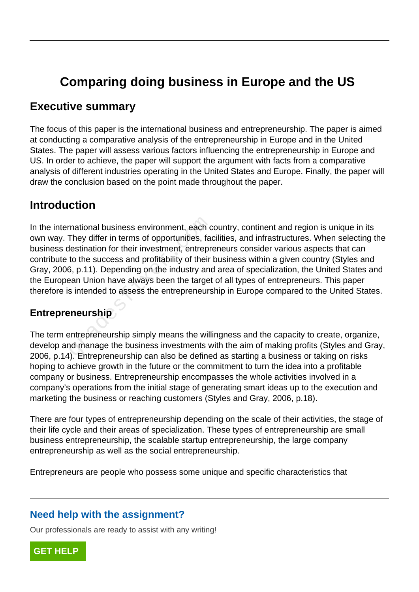# **Comparing doing business in Europe and the US**

## **Executive summary**

The focus of this paper is the international business and entrepreneurship. The paper is aimed at conducting a comparative analysis of the entrepreneurship in Europe and in the United States. The paper will assess various factors influencing the entrepreneurship in Europe and US. In order to achieve, the paper will support the argument with facts from a comparative analysis of different industries operating in the United States and Europe. Finally, the paper will draw the conclusion based on the point made throughout the paper.

## **Introduction**

In the international business environment, each country, continent and region is unique in its own way. They differ in terms of opportunities, facilities, and infrastructures. When selecting the business destination for their investment, entrepreneurs consider various aspects that can contribute to the success and profitability of their business within a given country (Styles and Gray, 2006, p.11). Depending on the industry and area of specialization, the United States and the European Union have always been the target of all types of entrepreneurs. This paper therefore is intended to assess the entrepreneurship in Europe compared to the United States. mational business environment, each comment and they differ in terms of opportunities, failestination for their investment, entrepr<br>to the success and profitability of their<br>5, p.11). Depending on the industry and<br>ean Unio

#### **Entrepreneurship**

The term entrepreneurship simply means the willingness and the capacity to create, organize, develop and manage the business investments with the aim of making profits (Styles and Gray, 2006, p.14). Entrepreneurship can also be defined as starting a business or taking on risks hoping to achieve growth in the future or the commitment to turn the idea into a profitable company or business. Entrepreneurship encompasses the whole activities involved in a company's operations from the initial stage of generating smart ideas up to the execution and marketing the business or reaching customers (Styles and Gray, 2006, p.18).

There are four types of entrepreneurship depending on the scale of their activities, the stage of their life cycle and their areas of specialization. These types of entrepreneurship are small business entrepreneurship, the scalable startup entrepreneurship, the large company entrepreneurship as well as the social entrepreneurship.

Entrepreneurs are people who possess some unique and specific characteristics that

#### **Need help with the assignment?**

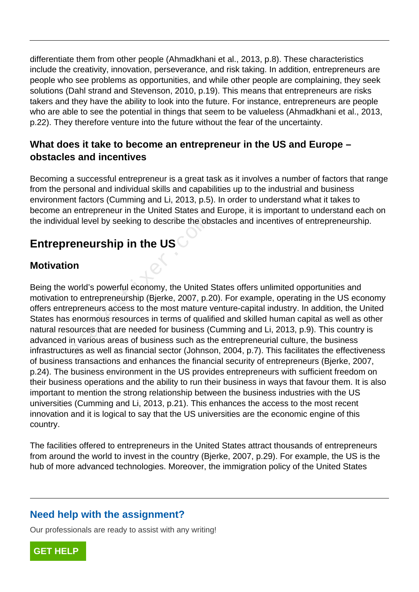differentiate them from other people (Ahmadkhani et al., 2013, p.8). These characteristics include the creativity, innovation, perseverance, and risk taking. In addition, entrepreneurs are people who see problems as opportunities, and while other people are complaining, they seek solutions (Dahl strand and Stevenson, 2010, p.19). This means that entrepreneurs are risks takers and they have the ability to look into the future. For instance, entrepreneurs are people who are able to see the potential in things that seem to be valueless (Ahmadkhani et al., 2013, p.22). They therefore venture into the future without the fear of the uncertainty.

#### **What does it take to become an entrepreneur in the US and Europe – obstacles and incentives**

Becoming a successful entrepreneur is a great task as it involves a number of factors that range from the personal and individual skills and capabilities up to the industrial and business environment factors (Cumming and Li, 2013, p.5). In order to understand what it takes to become an entrepreneur in the United States and Europe, it is important to understand each on the individual level by seeking to describe the obstacles and incentives of entrepreneurship.

## **Entrepreneurship in the US**

## **Motivation**

Being the world's powerful economy, the United States offers unlimited opportunities and motivation to entrepreneurship (Bjerke, 2007, p.20). For example, operating in the US economy offers entrepreneurs access to the most mature venture-capital industry. In addition, the United States has enormous resources in terms of qualified and skilled human capital as well as other natural resources that are needed for business (Cumming and Li, 2013, p.9). This country is advanced in various areas of business such as the entrepreneurial culture, the business infrastructures as well as financial sector (Johnson, 2004, p.7). This facilitates the effectiveness of business transactions and enhances the financial security of entrepreneurs (Bjerke, 2007, p.24). The business environment in the US provides entrepreneurs with sufficient freedom on their business operations and the ability to run their business in ways that favour them. It is also important to mention the strong relationship between the business industries with the US universities (Cumming and Li, 2013, p.21). This enhances the access to the most recent innovation and it is logical to say that the US universities are the economic engine of this country. ual level by seeking to describe the obs<br>
" **eneurship in the US**<br> **on**<br>
world's powerful economy, the United S<br>
to entrepreneurship (Bjerke, 2007, p.2<br>
epreneurs access to the most mature v<br>
is enormous resources in terms

The facilities offered to entrepreneurs in the United States attract thousands of entrepreneurs from around the world to invest in the country (Bjerke, 2007, p.29). For example, the US is the hub of more advanced technologies. Moreover, the immigration policy of the United States

### **Need help with the assignment?**

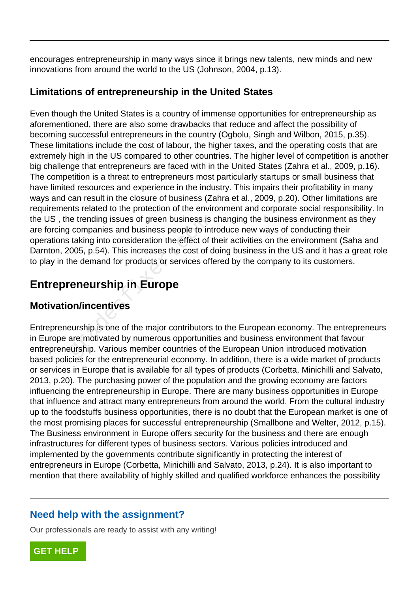encourages entrepreneurship in many ways since it brings new talents, new minds and new innovations from around the world to the US (Johnson, 2004, p.13).

#### **Limitations of entrepreneurship in the United States**

Even though the United States is a country of immense opportunities for entrepreneurship as aforementioned, there are also some drawbacks that reduce and affect the possibility of becoming successful entrepreneurs in the country (Ogbolu, Singh and Wilbon, 2015, p.35). These limitations include the cost of labour, the higher taxes, and the operating costs that are extremely high in the US compared to other countries. The higher level of competition is another big challenge that entrepreneurs are faced with in the United States (Zahra et al., 2009, p.16). The competition is a threat to entrepreneurs most particularly startups or small business that have limited resources and experience in the industry. This impairs their profitability in many ways and can result in the closure of business (Zahra et al., 2009, p.20). Other limitations are requirements related to the protection of the environment and corporate social responsibility. In the US , the trending issues of green business is changing the business environment as they are forcing companies and business people to introduce new ways of conducting their operations taking into consideration the effect of their activities on the environment (Saha and Darnton, 2005, p.54). This increases the cost of doing business in the US and it has a great role to play in the demand for products or services offered by the company to its customers. ie trending issues of green business is<br>i companies and business people to interaction that<br>itaking into consideration the effect of 1<br>005, p.54). This increases the cost of of<br>the demand for products or services off<br>**eneu** 

## **Entrepreneurship in Europe**

### **Motivation/incentives**

Entrepreneurship is one of the major contributors to the European economy. The entrepreneurs in Europe are motivated by numerous opportunities and business environment that favour entrepreneurship. Various member countries of the European Union introduced motivation based policies for the entrepreneurial economy. In addition, there is a wide market of products or services in Europe that is available for all types of products (Corbetta, Minichilli and Salvato, 2013, p.20). The purchasing power of the population and the growing economy are factors influencing the entrepreneurship in Europe. There are many business opportunities in Europe that influence and attract many entrepreneurs from around the world. From the cultural industry up to the foodstuffs business opportunities, there is no doubt that the European market is one of the most promising places for successful entrepreneurship (Smallbone and Welter, 2012, p.15). The Business environment in Europe offers security for the business and there are enough infrastructures for different types of business sectors. Various policies introduced and implemented by the governments contribute significantly in protecting the interest of entrepreneurs in Europe (Corbetta, Minichilli and Salvato, 2013, p.24). It is also important to mention that there availability of highly skilled and qualified workforce enhances the possibility

## **Need help with the assignment?**

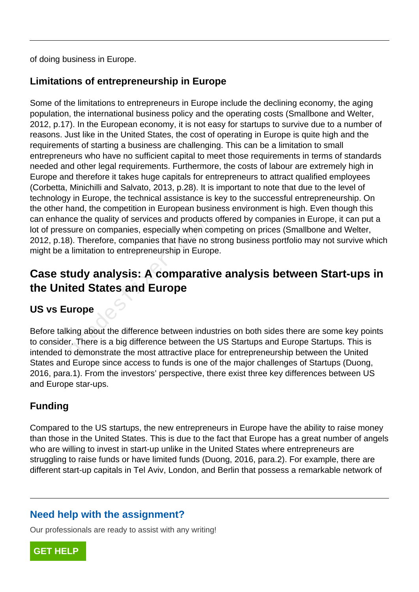of doing business in Europe.

#### **Limitations of entrepreneurship in Europe**

Some of the limitations to entrepreneurs in Europe include the declining economy, the aging population, the international business policy and the operating costs (Smallbone and Welter, 2012, p.17). In the European economy, it is not easy for startups to survive due to a number of reasons. Just like in the United States, the cost of operating in Europe is quite high and the requirements of starting a business are challenging. This can be a limitation to small entrepreneurs who have no sufficient capital to meet those requirements in terms of standards needed and other legal requirements. Furthermore, the costs of labour are extremely high in Europe and therefore it takes huge capitals for entrepreneurs to attract qualified employees (Corbetta, Minichilli and Salvato, 2013, p.28). It is important to note that due to the level of technology in Europe, the technical assistance is key to the successful entrepreneurship. On the other hand, the competition in European business environment is high. Even though this can enhance the quality of services and products offered by companies in Europe, it can put a lot of pressure on companies, especially when competing on prices (Smallbone and Welter, 2012, p.18). Therefore, companies that have no strong business portfolio may not survive which might be a limitation to entrepreneurship in Europe. ce the quality of services and products<br>sure on companies, especially when co<br>i). Therefore, companies that have no s<br>i limitation to entrepreneurship in Europ<br>**:udy analysis: A comparative<br>ted States and Europe**<br>**urope**<br>s

## **Case study analysis: A comparative analysis between Start-ups in the United States and Europe**

#### **US vs Europe**

Before talking about the difference between industries on both sides there are some key points to consider. There is a big difference between the US Startups and Europe Startups. This is intended to demonstrate the most attractive place for entrepreneurship between the United States and Europe since access to funds is one of the major challenges of Startups (Duong, 2016, para.1). From the investors' perspective, there exist three key differences between US and Europe star-ups.

### **Funding**

Compared to the US startups, the new entrepreneurs in Europe have the ability to raise money than those in the United States. This is due to the fact that Europe has a great number of angels who are willing to invest in start-up unlike in the United States where entrepreneurs are struggling to raise funds or have limited funds (Duong, 2016, para.2). For example, there are different start-up capitals in Tel Aviv, London, and Berlin that possess a remarkable network of

#### **Need help with the assignment?**

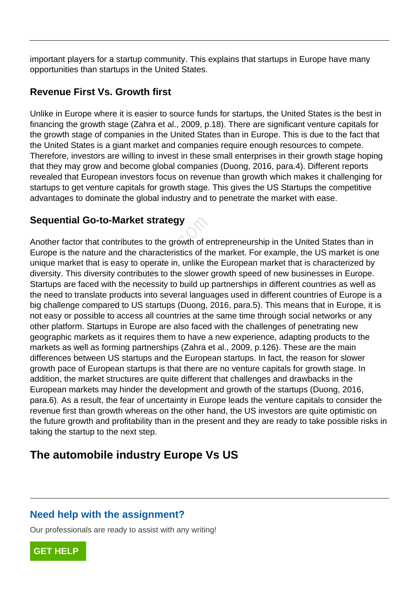important players for a startup community. This explains that startups in Europe have many opportunities than startups in the United States.

#### **Revenue First Vs. Growth first**

Unlike in Europe where it is easier to source funds for startups, the United States is the best in financing the growth stage (Zahra et al., 2009, p.18). There are significant venture capitals for the growth stage of companies in the United States than in Europe. This is due to the fact that the United States is a giant market and companies require enough resources to compete. Therefore, investors are willing to invest in these small enterprises in their growth stage hoping that they may grow and become global companies (Duong, 2016, para.4). Different reports revealed that European investors focus on revenue than growth which makes it challenging for startups to get venture capitals for growth stage. This gives the US Startups the competitive advantages to dominate the global industry and to penetrate the market with ease.

#### **Sequential Go-to-Market strategy**

Another factor that contributes to the growth of entrepreneurship in the United States than in Europe is the nature and the characteristics of the market. For example, the US market is one unique market that is easy to operate in, unlike the European market that is characterized by diversity. This diversity contributes to the slower growth speed of new businesses in Europe. Startups are faced with the necessity to build up partnerships in different countries as well as the need to translate products into several languages used in different countries of Europe is a big challenge compared to US startups (Duong, 2016, para.5). This means that in Europe, it is not easy or possible to access all countries at the same time through social networks or any other platform. Startups in Europe are also faced with the challenges of penetrating new geographic markets as it requires them to have a new experience, adapting products to the markets as well as forming partnerships (Zahra et al., 2009, p.126). These are the main differences between US startups and the European startups. In fact, the reason for slower growth pace of European startups is that there are no venture capitals for growth stage. In addition, the market structures are quite different that challenges and drawbacks in the European markets may hinder the development and growth of the startups (Duong, 2016, para.6). As a result, the fear of uncertainty in Europe leads the venture capitals to consider the revenue first than growth whereas on the other hand, the US investors are quite optimistic on the future growth and profitability than in the present and they are ready to take possible risks in taking the startup to the next step. ial Go-to-Market strategy<br>ctor that contributes to the growth of er<br>the nature and the characteristics of the<br>rket that is easy to operate in, unlike the<br>his diversity contributes to the slower<br>re faced with the necessity

## **The automobile industry Europe Vs US**

#### **Need help with the assignment?**

Our professionals are ready to assist with any writing!

**[GET HELP](https://my.gradesfixer.com/order?utm_campaign=pdf_sample)**